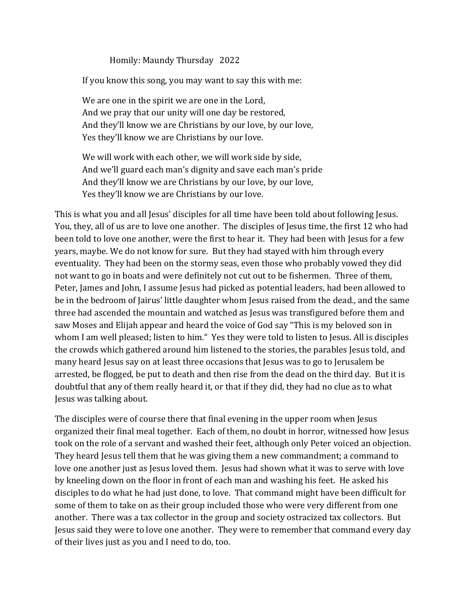## Homily: Maundy Thursday 2022

If you know this song, you may want to say this with me:

We are one in the spirit we are one in the Lord, And we pray that our unity will one day be restored, And they'll know we are Christians by our love, by our love, Yes they'll know we are Christians by our love.

We will work with each other, we will work side by side, And we'll guard each man's dignity and save each man's pride And they'll know we are Christians by our love, by our love, Yes they'll know we are Christians by our love.

This is what you and all Jesus' disciples for all time have been told about following Jesus. You, they, all of us are to love one another. The disciples of Jesus time, the first 12 who had been told to love one another, were the first to hear it. They had been with Jesus for a few years, maybe. We do not know for sure. But they had stayed with him through every eventuality. They had been on the stormy seas, even those who probably vowed they did not want to go in boats and were definitely not cut out to be fishermen. Three of them, Peter, James and John, I assume Jesus had picked as potential leaders, had been allowed to be in the bedroom of Jairus' little daughter whom Jesus raised from the dead., and the same three had ascended the mountain and watched as Jesus was transfigured before them and saw Moses and Elijah appear and heard the voice of God say "This is my beloved son in whom I am well pleased; listen to him." Yes they were told to listen to Jesus. All is disciples the crowds which gathered around him listened to the stories, the parables Jesus told, and many heard Jesus say on at least three occasions that Jesus was to go to Jerusalem be arrested, be flogged, be put to death and then rise from the dead on the third day. But it is doubtful that any of them really heard it, or that if they did, they had no clue as to what Jesus was talking about.

The disciples were of course there that final evening in the upper room when Jesus organized their final meal together. Each of them, no doubt in horror, witnessed how Jesus took on the role of a servant and washed their feet, although only Peter voiced an objection. They heard Jesus tell them that he was giving them a new commandment; a command to love one another just as Jesus loved them. Jesus had shown what it was to serve with love by kneeling down on the floor in front of each man and washing his feet. He asked his disciples to do what he had just done, to love. That command might have been difficult for some of them to take on as their group included those who were very different from one another. There was a tax collector in the group and society ostracized tax collectors. But Jesus said they were to love one another. They were to remember that command every day of their lives just as you and I need to do, too.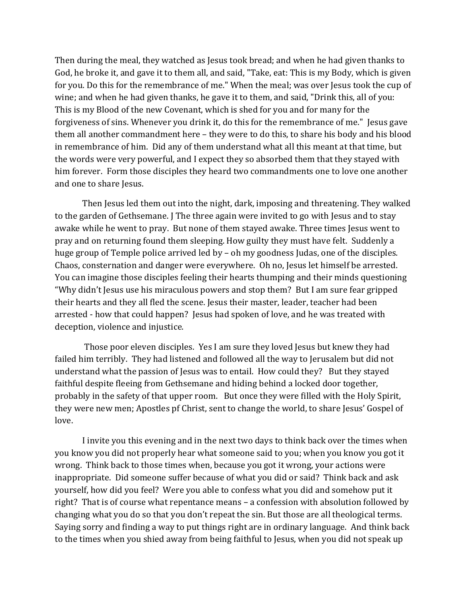Then during the meal, they watched as Jesus took bread; and when he had given thanks to God, he broke it, and gave it to them all, and said, "Take, eat: This is my Body, which is given for you. Do this for the remembrance of me." When the meal; was over Jesus took the cup of wine; and when he had given thanks, he gave it to them, and said, "Drink this, all of you: This is my Blood of the new Covenant, which is shed for you and for many for the forgiveness of sins. Whenever you drink it, do this for the remembrance of me." Jesus gave them all another commandment here – they were to do this, to share his body and his blood in remembrance of him. Did any of them understand what all this meant at that time, but the words were very powerful, and I expect they so absorbed them that they stayed with him forever. Form those disciples they heard two commandments one to love one another and one to share Jesus.

Then Jesus led them out into the night, dark, imposing and threatening. They walked to the garden of Gethsemane. J The three again were invited to go with Jesus and to stay awake while he went to pray. But none of them stayed awake. Three times Jesus went to pray and on returning found them sleeping. How guilty they must have felt. Suddenly a huge group of Temple police arrived led by – oh my goodness Judas, one of the disciples. Chaos, consternation and danger were everywhere. Oh no, Jesus let himself be arrested. You can imagine those disciples feeling their hearts thumping and their minds questioning "Why didn't Jesus use his miraculous powers and stop them? But I am sure fear gripped their hearts and they all fled the scene. Jesus their master, leader, teacher had been arrested - how that could happen? Jesus had spoken of love, and he was treated with deception, violence and injustice.

Those poor eleven disciples. Yes I am sure they loved Jesus but knew they had failed him terribly. They had listened and followed all the way to Jerusalem but did not understand what the passion of Jesus was to entail. How could they? But they stayed faithful despite fleeing from Gethsemane and hiding behind a locked door together, probably in the safety of that upper room. But once they were filled with the Holy Spirit, they were new men; Apostles pf Christ, sent to change the world, to share Jesus' Gospel of love.

I invite you this evening and in the next two days to think back over the times when you know you did not properly hear what someone said to you; when you know you got it wrong. Think back to those times when, because you got it wrong, your actions were inappropriate. Did someone suffer because of what you did or said? Think back and ask yourself, how did you feel? Were you able to confess what you did and somehow put it right? That is of course what repentance means – a confession with absolution followed by changing what you do so that you don't repeat the sin. But those are all theological terms. Saying sorry and finding a way to put things right are in ordinary language. And think back to the times when you shied away from being faithful to Jesus, when you did not speak up